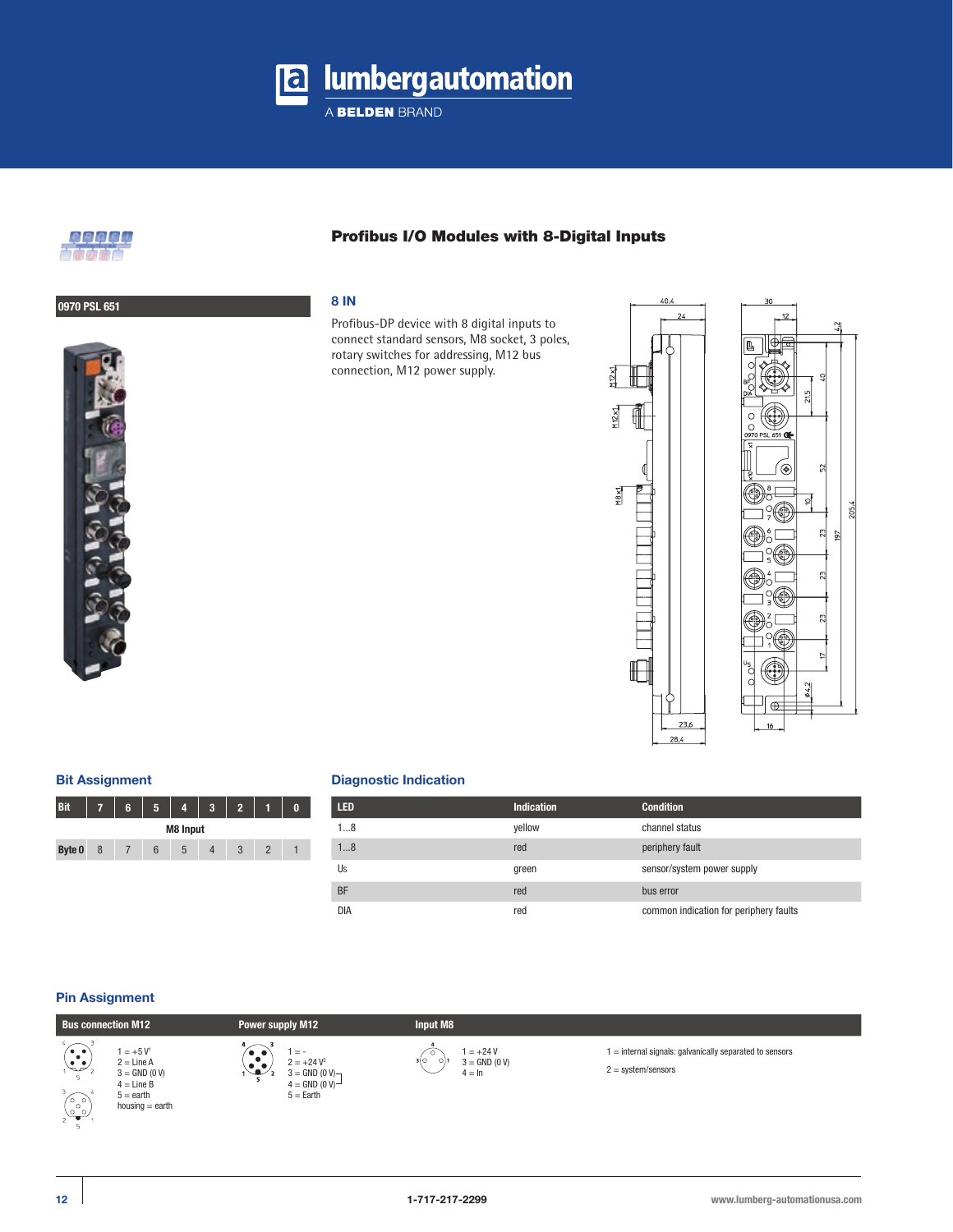

A BELDEN BRAND



# Profibus I/O Modules with 8-Digital Inputs

# **0970 PSL 651 8 IN**

Profibus-DP device with 8 digital inputs to connect standard sensors, M8 socket, 3 poles, rotary switches for addressing, M12 bus connection, M12 power supply.



 $\tilde{2}$ 

 $\mathbb{Z}$ 197

 $23$ 

23

 $\overline{a}$ 

4,2

205.4

₫

Œ

### **Bit Assignment**

| <b>Bit</b>      |   | 6 |   |              |  | ν, |  |  |
|-----------------|---|---|---|--------------|--|----|--|--|
| <b>M8 Input</b> |   |   |   |              |  |    |  |  |
| Byte 0          | 8 |   | 6 | $\mathbf{D}$ |  | ×. |  |  |

### **Diagnostic Indication**

| LED.       | <b>Indication</b> | <b>Condition</b>                       |
|------------|-------------------|----------------------------------------|
| 18         | yellow            | channel status                         |
| 18         | red               | periphery fault                        |
| Us         | green             | sensor/system power supply             |
| <b>BF</b>  | red               | bus error                              |
| <b>DIA</b> | red               | common indication for periphery faults |

### **Pin Assignment**







1 = +24 V 3 = GND (0 V)  $4 = \ln$ 

1 = internal signals: galvanically separated to sensors

2 = system/sensors